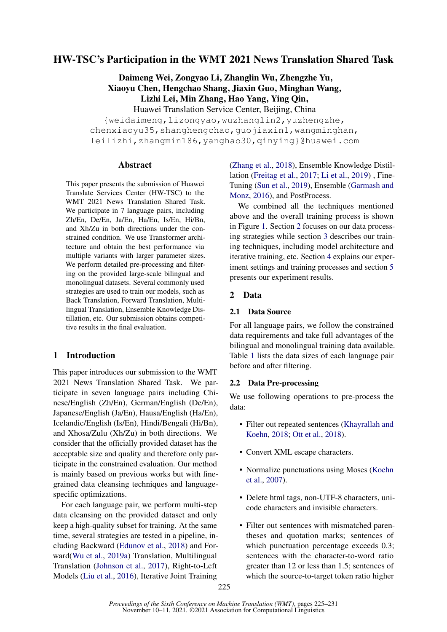# HW-TSC's Participation in the WMT 2021 News Translation Shared Task

Daimeng Wei, Zongyao Li, Zhanglin Wu, Zhengzhe Yu, Xiaoyu Chen, Hengchao Shang, Jiaxin Guo, Minghan Wang, Lizhi Lei, Min Zhang, Hao Yang, Ying Qin, Huawei Translation Service Center, Beijing, China

{weidaimeng,lizongyao,wuzhanglin2,yuzhengzhe, chenxiaoyu35, shanghengchao, quojiaxin1, wangminghan, leilizhi,zhangmin186,yanghao30,qinying}@huawei.com

# Abstract

This paper presents the submission of Huawei Translate Services Center (HW-TSC) to the WMT 2021 News Translation Shared Task. We participate in 7 language pairs, including Zh/En, De/En, Ja/En, Ha/En, Is/En, Hi/Bn, and Xh/Zu in both directions under the constrained condition. We use Transformer architecture and obtain the best performance via multiple variants with larger parameter sizes. We perform detailed pre-processing and filtering on the provided large-scale bilingual and monolingual datasets. Several commonly used strategies are used to train our models, such as Back Translation, Forward Translation, Multilingual Translation, Ensemble Knowledge Distillation, etc. Our submission obtains competitive results in the final evaluation.

# 1 Introduction

This paper introduces our submission to the WMT 2021 News Translation Shared Task. We participate in seven language pairs including Chinese/English (Zh/En), German/English (De/En), Japanese/English (Ja/En), Hausa/English (Ha/En), Icelandic/English (Is/En), Hindi/Bengali (Hi/Bn), and Xhosa/Zulu (Xh/Zu) in both directions. We consider that the officially provided dataset has the acceptable size and quality and therefore only participate in the constrained evaluation. Our method is mainly based on previous works but with finegrained data cleansing techniques and languagespecific optimizations.

For each language pair, we perform multi-step data cleansing on the provided dataset and only keep a high-quality subset for training. At the same time, several strategies are tested in a pipeline, including Backward [\(Edunov et al.,](#page-5-0) [2018\)](#page-5-0) and Forward[\(Wu et al.,](#page-6-0) [2019a\)](#page-6-0) Translation, Multilingual Translation [\(Johnson et al.,](#page-5-1) [2017\)](#page-5-1), Right-to-Left Models [\(Liu et al.,](#page-6-1) [2016\)](#page-6-1), Iterative Joint Training

[\(Zhang et al.,](#page-6-2) [2018\)](#page-6-2), Ensemble Knowledge Distillation [\(Freitag et al.,](#page-5-2) [2017;](#page-5-2) [Li et al.,](#page-6-3) [2019\)](#page-6-3) , Fine-Tuning [\(Sun et al.,](#page-6-4) [2019\)](#page-6-4), Ensemble [\(Garmash and](#page-5-3) [Monz,](#page-5-3) [2016\)](#page-5-3), and PostProcess.

We combined all the techniques mentioned above and the overall training process is shown in Figure [1.](#page-1-0) Section [2](#page-0-0) focuses on our data processing strategies while section [3](#page-1-1) describes our training techniques, including model architecture and iterative training, etc. Section [4](#page-3-0) explains our experiment settings and training processes and section [5](#page-3-1) presents our experiment results.

# <span id="page-0-0"></span>2 Data

# 2.1 Data Source

For all language pairs, we follow the constrained data requirements and take full advantages of the bilingual and monolingual training data available. Table [1](#page-2-0) lists the data sizes of each language pair before and after filtering.

# <span id="page-0-1"></span>2.2 Data Pre-processing

We use following operations to pre-process the data:

- Filter out repeated sentences [\(Khayrallah and](#page-6-5) [Koehn,](#page-6-5) [2018;](#page-6-5) [Ott et al.,](#page-6-6) [2018\)](#page-6-6).
- Convert XML escape characters.
- Normalize punctuations using Moses [\(Koehn](#page-6-7) [et al.,](#page-6-7) [2007\)](#page-6-7).
- Delete html tags, non-UTF-8 characters, unicode characters and invisible characters.
- Filter out sentences with mismatched parentheses and quotation marks; sentences of which punctuation percentage exceeds  $0.3$ ; sentences with the character-to-word ratio greater than 12 or less than 1.5; sentences of which the source-to-target token ratio higher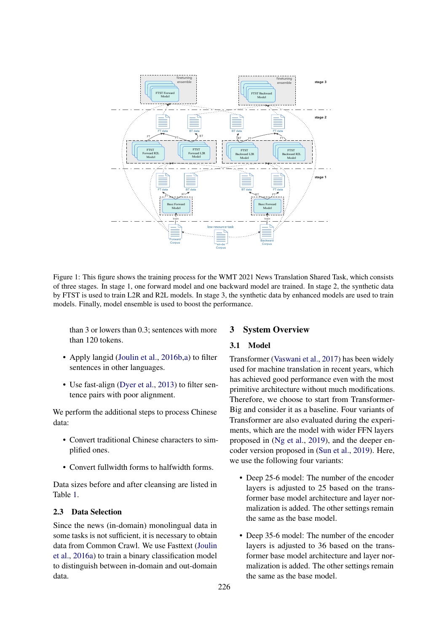<span id="page-1-0"></span>

Figure 1: This figure shows the training process for the WMT 2021 News Translation Shared Task, which consists of three stages. In stage 1, one forward model and one backward model are trained. In stage 2, the synthetic data by FTST is used to train L2R and R2L models. In stage 3, the synthetic data by enhanced models are used to train models. Finally, model ensemble is used to boost the performance.

than 3 or lowers than 0.3; sentences with more than 120 tokens.

- Apply langid [\(Joulin et al.,](#page-6-8) [2016b](#page-6-8), a) to filter sentences in other languages.
- Use fast-align [\(Dyer et al.,](#page-5-4) [2013\)](#page-5-4) to filter sentence pairs with poor alignment.

We perform the additional steps to process Chinese data:

- Convert traditional Chinese characters to simplified ones.
- Convert fullwidth forms to halfwidth forms.

Data sizes before and after cleansing are listed in Table [1.](#page-2-0)

# 2.3 Data Selection

Since the news (in-domain) monolingual data in some tasks is not sufficient, it is necessary to obtain data from Common Crawl. We use Fasttext [\(Joulin](#page-6-9) [et al.,](#page-6-9) [2016a\)](#page-6-9) to train a binary classification model to distinguish between in-domain and out-domain data.

# <span id="page-1-1"></span>3 System Overview

# <span id="page-1-2"></span>3.1 Model

Transformer [\(Vaswani et al.,](#page-6-10) [2017\)](#page-6-10) has been widely used for machine translation in recent years, which has achieved good performance even with the most primitive architecture without much modifications. Therefore, we choose to start from Transformer-Big and consider it as a baseline. Four variants of Transformer are also evaluated during the experiments, which are the model with wider FFN layers proposed in [\(Ng et al.,](#page-6-11) [2019\)](#page-6-11), and the deeper encoder version proposed in [\(Sun et al.,](#page-6-4) [2019\)](#page-6-4). Here, we use the following four variants:

- Deep 25-6 model: The number of the encoder layers is adjusted to 25 based on the transformer base model architecture and layer normalization is added. The other settings remain the same as the base model.
- Deep 35-6 model: The number of the encoder layers is adjusted to 36 based on the transformer base model architecture and layer normalization is added. The other settings remain the same as the base model.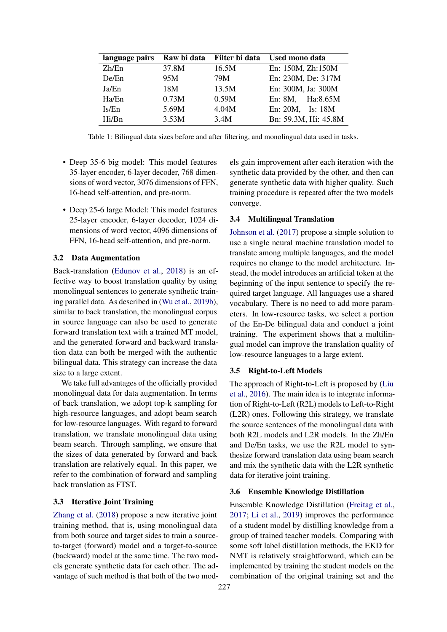<span id="page-2-0"></span>

| language pairs | Raw bi data | Filter bi data | <b>Used mono data</b> |
|----------------|-------------|----------------|-----------------------|
| Zh/En          | 37.8M       | 16.5M          | En: 150M, Zh:150M     |
| De/En          | 95M         | 79M            | En: 230M, De: 317M    |
| Ja/En          | 18M         | 13.5M          | En: 300M, Ja: 300M    |
| Ha/En          | 0.73M       | 0.59M          | En: 8M, Ha:8.65M      |
| Is/En          | 5.69M       | 4.04M          | En: 20M, Is: 18M      |
| Hi/Bn          | 3.53M       | 3.4M           | Bn: 59.3M, Hi: 45.8M  |

Table 1: Bilingual data sizes before and after filtering, and monolingual data used in tasks.

- Deep 35-6 big model: This model features 35-layer encoder, 6-layer decoder, 768 dimensions of word vector, 3076 dimensions of FFN, 16-head self-attention, and pre-norm.
- Deep 25-6 large Model: This model features 25-layer encoder, 6-layer decoder, 1024 dimensions of word vector, 4096 dimensions of FFN, 16-head self-attention, and pre-norm.

# <span id="page-2-1"></span>3.2 Data Augmentation

Back-translation [\(Edunov et al.,](#page-5-0) [2018\)](#page-5-0) is an effective way to boost translation quality by using monolingual sentences to generate synthetic training parallel data. As described in [\(Wu et al.,](#page-6-12) [2019b\)](#page-6-12), similar to back translation, the monolingual corpus in source language can also be used to generate forward translation text with a trained MT model, and the generated forward and backward translation data can both be merged with the authentic bilingual data. This strategy can increase the data size to a large extent.

We take full advantages of the officially provided monolingual data for data augmentation. In terms of back translation, we adopt top-k sampling for high-resource languages, and adopt beam search for low-resource languages. With regard to forward translation, we translate monolingual data using beam search. Through sampling, we ensure that the sizes of data generated by forward and back translation are relatively equal. In this paper, we refer to the combination of forward and sampling back translation as FTST.

# 3.3 Iterative Joint Training

[Zhang et al.](#page-6-2) [\(2018\)](#page-6-2) propose a new iterative joint training method, that is, using monolingual data from both source and target sides to train a sourceto-target (forward) model and a target-to-source (backward) model at the same time. The two models generate synthetic data for each other. The advantage of such method is that both of the two models gain improvement after each iteration with the synthetic data provided by the other, and then can generate synthetic data with higher quality. Such training procedure is repeated after the two models converge.

# 3.4 Multilingual Translation

[Johnson et al.](#page-5-1) [\(2017\)](#page-5-1) propose a simple solution to use a single neural machine translation model to translate among multiple languages, and the model requires no change to the model architecture. Instead, the model introduces an artificial token at the beginning of the input sentence to specify the required target language. All languages use a shared vocabulary. There is no need to add more parameters. In low-resource tasks, we select a portion of the En-De bilingual data and conduct a joint training. The experiment shows that a multilingual model can improve the translation quality of low-resource languages to a large extent.

## 3.5 Right-to-Left Models

The approach of Right-to-Left is proposed by [\(Liu](#page-6-1) [et al.,](#page-6-1) [2016\)](#page-6-1). The main idea is to integrate information of Right-to-Left (R2L) models to Left-to-Right (L2R) ones. Following this strategy, we translate the source sentences of the monolingual data with both R2L models and L2R models. In the Zh/En and De/En tasks, we use the R2L model to synthesize forward translation data using beam search and mix the synthetic data with the L2R synthetic data for iterative joint training.

#### 3.6 Ensemble Knowledge Distillation

Ensemble Knowledge Distillation [\(Freitag et al.,](#page-5-2) [2017;](#page-5-2) [Li et al.,](#page-6-3) [2019\)](#page-6-3) improves the performance of a student model by distilling knowledge from a group of trained teacher models. Comparing with some soft label distillation methods, the EKD for NMT is relatively straightforward, which can be implemented by training the student models on the combination of the original training set and the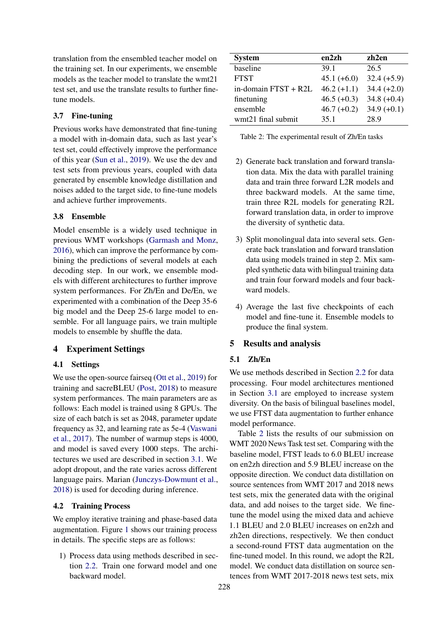translation from the ensembled teacher model on the training set. In our experiments, we ensemble models as the teacher model to translate the wmt21 test set, and use the translate results to further finetune models.

# 3.7 Fine-tuning

Previous works have demonstrated that fine-tuning a model with in-domain data, such as last year's test set, could effectively improve the performance of this year [\(Sun et al.,](#page-6-4) [2019\)](#page-6-4). We use the dev and test sets from previous years, coupled with data generated by ensemble knowledge distillation and noises added to the target side, to fine-tune models and achieve further improvements.

# 3.8 Ensemble

Model ensemble is a widely used technique in previous WMT workshops [\(Garmash and Monz,](#page-5-3) [2016\)](#page-5-3), which can improve the performance by combining the predictions of several models at each decoding step. In our work, we ensemble models with different architectures to further improve system performances. For Zh/En and De/En, we experimented with a combination of the Deep 35-6 big model and the Deep 25-6 large model to ensemble. For all language pairs, we train multiple models to ensemble by shuffle the data.

# <span id="page-3-0"></span>4 Experiment Settings

# 4.1 Settings

We use the open-source fairseq [\(Ott et al.,](#page-6-13) [2019\)](#page-6-13) for training and sacreBLEU [\(Post,](#page-6-14) [2018\)](#page-6-14) to measure system performances. The main parameters are as follows: Each model is trained using 8 GPUs. The size of each batch is set as 2048, parameter update frequency as 32, and learning rate as 5e-4 [\(Vaswani](#page-6-10) [et al.,](#page-6-10) [2017\)](#page-6-10). The number of warmup steps is 4000, and model is saved every 1000 steps. The architectures we used are described in section [3.1.](#page-1-2) We adopt dropout, and the rate varies across different language pairs. Marian [\(Junczys-Dowmunt et al.,](#page-6-15) [2018\)](#page-6-15) is used for decoding during inference.

# 4.2 Training Process

We employ iterative training and phase-based data augmentation. Figure [1](#page-1-0) shows our training process in details. The specific steps are as follows:

1) Process data using methods described in section [2.2.](#page-0-1) Train one forward model and one backward model.

<span id="page-3-2"></span>

| <b>System</b>        | en2zh         | zh2en         |
|----------------------|---------------|---------------|
| baseline             | 39.1          | 26.5          |
| <b>FTST</b>          | $45.1 (+6.0)$ | $32.4 (+5.9)$ |
| in-domain FTST + R2L | $46.2 (+1.1)$ | $34.4 (+2.0)$ |
| finetuning           | $46.5 (+0.3)$ | $34.8 (+0.4)$ |
| ensemble             | $46.7 (+0.2)$ | $34.9 (+0.1)$ |
| wmt21 final submit   | 35.1          | 28.9          |

Table 2: The experimental result of Zh/En tasks

- 2) Generate back translation and forward translation data. Mix the data with parallel training data and train three forward L2R models and three backward models. At the same time, train three R2L models for generating R2L forward translation data, in order to improve the diversity of synthetic data.
- 3) Split monolingual data into several sets. Generate back translation and forward translation data using models trained in step 2. Mix sampled synthetic data with bilingual training data and train four forward models and four backward models.
- 4) Average the last five checkpoints of each model and fine-tune it. Ensemble models to produce the final system.

#### <span id="page-3-1"></span>5 Results and analysis

# 5.1 Zh/En

We use methods described in Section [2.2](#page-0-1) for data processing. Four model architectures mentioned in Section [3.1](#page-1-2) are employed to increase system diversity. On the basis of bilingual baselines model, we use FTST data augmentation to further enhance model performance.

Table [2](#page-3-2) lists the results of our submission on WMT 2020 News Task test set. Comparing with the baseline model, FTST leads to 6.0 BLEU increase on en2zh direction and 5.9 BLEU increase on the opposite direction. We conduct data distillation on source sentences from WMT 2017 and 2018 news test sets, mix the generated data with the original data, and add noises to the target side. We finetune the model using the mixed data and achieve 1.1 BLEU and 2.0 BLEU increases on en2zh and zh2en directions, respectively. We then conduct a second-round FTST data augmentation on the fine-tuned model. In this round, we adopt the R2L model. We conduct data distillation on source sentences from WMT 2017-2018 news test sets, mix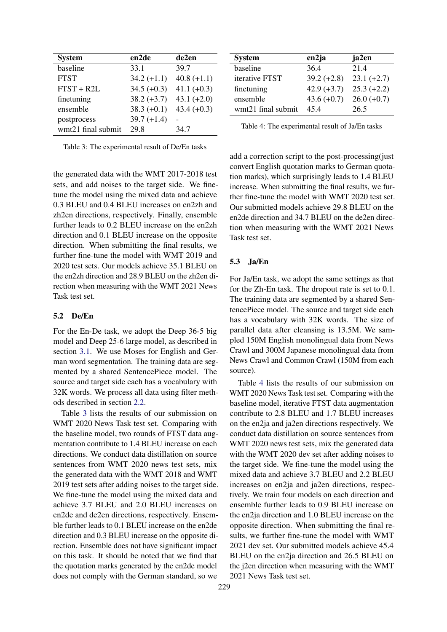<span id="page-4-0"></span>

| <b>System</b>      | en2de         | de2en         |  |  |
|--------------------|---------------|---------------|--|--|
| baseline           | 33.1          | 39.7          |  |  |
| <b>FTST</b>        | $34.2 (+1.1)$ | $40.8 (+1.1)$ |  |  |
| $FTST + R2L$       | $34.5 (+0.3)$ | $41.1 (+0.3)$ |  |  |
| finetuning         | $38.2 (+3.7)$ | $43.1 (+2.0)$ |  |  |
| ensemble           | $38.3 (+0.1)$ | $43.4 (+0.3)$ |  |  |
| postprocess        | $39.7 (+1.4)$ |               |  |  |
| wmt21 final submit | 29.8          | 34.7          |  |  |

Table 3: The experimental result of De/En tasks

the generated data with the WMT 2017-2018 test sets, and add noises to the target side. We finetune the model using the mixed data and achieve 0.3 BLEU and 0.4 BLEU increases on en2zh and zh2en directions, respectively. Finally, ensemble further leads to 0.2 BLEU increase on the en2zh direction and 0.1 BLEU increase on the opposite direction. When submitting the final results, we further fine-tune the model with WMT 2019 and 2020 test sets. Our models achieve 35.1 BLEU on the en2zh direction and 28.9 BLEU on the zh2en direction when measuring with the WMT 2021 News Task test set.

# 5.2 De/En

For the En-De task, we adopt the Deep 36-5 big model and Deep 25-6 large model, as described in section [3.1.](#page-1-2) We use Moses for English and German word segmentation. The training data are segmented by a shared SentencePiece model. The source and target side each has a vocabulary with 32K words. We process all data using filter methods described in section [2.2.](#page-0-1)

Table [3](#page-4-0) lists the results of our submission on WMT 2020 News Task test set. Comparing with the baseline model, two rounds of FTST data augmentation contribute to 1.4 BLEU increase on each directions. We conduct data distillation on source sentences from WMT 2020 news test sets, mix the generated data with the WMT 2018 and WMT 2019 test sets after adding noises to the target side. We fine-tune the model using the mixed data and achieve 3.7 BLEU and 2.0 BLEU increases on en2de and de2en directions, respectively. Ensemble further leads to 0.1 BLEU increase on the en2de direction and 0.3 BLEU increase on the opposite direction. Ensemble does not have significant impact on this task. It should be noted that we find that the quotation marks generated by the en2de model does not comply with the German standard, so we

<span id="page-4-1"></span>

| <b>System</b>      | en2ja         | ja2en         |
|--------------------|---------------|---------------|
| baseline           | 36.4          | 21.4          |
| iterative FTST     | $39.2 (+2.8)$ | $23.1 (+2.7)$ |
| finetuning         | $42.9 (+3.7)$ | $25.3 (+2.2)$ |
| ensemble           | $43.6 (+0.7)$ | $26.0 (+0.7)$ |
| wmt21 final submit | 454           | 26.5          |

Table 4: The experimental result of Ja/En tasks

add a correction script to the post-processing(just convert English quotation marks to German quotation marks), which surprisingly leads to 1.4 BLEU increase. When submitting the final results, we further fine-tune the model with WMT 2020 test set. Our submitted models achieve 29.8 BLEU on the en2de direction and 34.7 BLEU on the de2en direction when measuring with the WMT 2021 News Task test set.

## 5.3 Ja/En

For Ja/En task, we adopt the same settings as that for the Zh-En task. The dropout rate is set to 0.1. The training data are segmented by a shared SentencePiece model. The source and target side each has a vocabulary with 32K words. The size of parallel data after cleansing is 13.5M. We sampled 150M English monolingual data from News Crawl and 300M Japanese monolingual data from News Crawl and Common Crawl (150M from each source).

Table [4](#page-4-1) lists the results of our submission on WMT 2020 News Task test set. Comparing with the baseline model, iterative FTST data augmentation contribute to 2.8 BLEU and 1.7 BLEU increases on the en2ja and ja2en directions respectively. We conduct data distillation on source sentences from WMT 2020 news test sets, mix the generated data with the WMT 2020 dev set after adding noises to the target side. We fine-tune the model using the mixed data and achieve 3.7 BLEU and 2.2 BLEU increases on en2ja and ja2en directions, respectively. We train four models on each direction and ensemble further leads to 0.9 BLEU increase on the en2ja direction and 1.0 BLEU increase on the opposite direction. When submitting the final results, we further fine-tune the model with WMT 2021 dev set. Our submitted models achieve 45.4 BLEU on the en2ia direction and 26.5 BLEU on the j2en direction when measuring with the WMT 2021 News Task test set.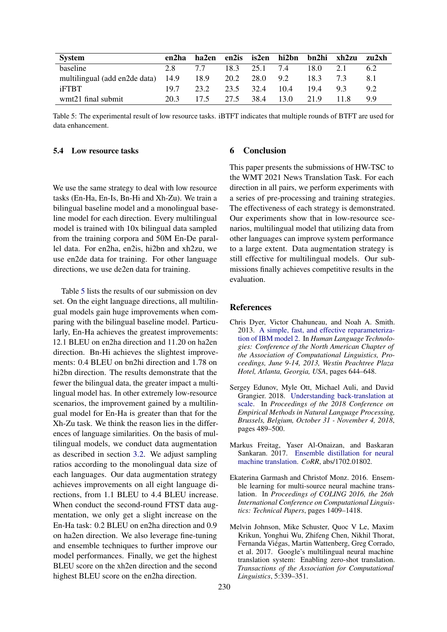<span id="page-5-5"></span>

| <b>System</b>                      | en2ha | ha2en |      |      | en2is is2en hi2bn | bn2hi | xh2zu | zu2xh |
|------------------------------------|-------|-------|------|------|-------------------|-------|-------|-------|
| baseline                           | 2.8   | 77    | 18.3 | 25.1 | 74                | 18.0  | 2.1   | 6.2   |
| multilingual (add en2de data) 14.9 |       | 18.9  | 20.2 | 28.0 | 9.2               | 18.3  | 73    |       |
| <b>iFTBT</b>                       | 197   | 23.2  | 23.5 | 32.4 | 10.4              | 19.4  | $Q_3$ | 92    |
| wmt21 final submit                 | 20.3  | 175   | 27.5 | 38.4 | 13.0              | 21.9  | 11.8  | 99    |

Table 5: The experimental result of low resource tasks. iBTFT indicates that multiple rounds of BTFT are used for data enhancement.

## 5.4 Low resource tasks

#### 6 Conclusion

We use the same strategy to deal with low resource tasks (En-Ha, En-Is, Bn-Hi and Xh-Zu). We train a bilingual baseline model and a monolingual baseline model for each direction. Every multilingual model is trained with 10x bilingual data sampled from the training corpora and 50M En-De parallel data. For en2ha, en2is, hi2bn and xh2zu, we use en2de data for training. For other language directions, we use de2en data for training.

Table [5](#page-5-5) lists the results of our submission on dev set. On the eight language directions, all multilingual models gain huge improvements when comparing with the bilingual baseline model. Particularly, En-Ha achieves the greatest improvements: 12.1 BLEU on en2ha direction and 11.20 on ha2en direction. Bn-Hi achieves the slightest improvements: 0.4 BLEU on bn2hi direction and 1.78 on hi2bn direction. The results demonstrate that the fewer the bilingual data, the greater impact a multilingual model has. In other extremely low-resource scenarios, the improvement gained by a multilingual model for En-Ha is greater than that for the Xh-Zu task. We think the reason lies in the differences of language similarities. On the basis of multilingual models, we conduct data augmentation as described in section [3.2.](#page-2-1) We adjust sampling ratios according to the monolingual data size of each languages. Our data augmentation strategy achieves improvements on all eight language directions, from 1.1 BLEU to 4.4 BLEU increase. When conduct the second-round FTST data augmentation, we only get a slight increase on the En-Ha task: 0.2 BLEU on en2ha direction and 0.9 on ha2en direction. We also leverage fine-tuning and ensemble techniques to further improve our model performances. Finally, we get the highest BLEU score on the xh2en direction and the second highest BLEU score on the en2ha direction.

This paper presents the submissions of HW-TSC to the WMT 2021 News Translation Task. For each direction in all pairs, we perform experiments with a series of pre-processing and training strategies. The effectiveness of each strategy is demonstrated. Our experiments show that in low-resource scenarios, multilingual model that utilizing data from other languages can improve system performance to a large extent. Data augmentation strategy is still effective for multilingual models. Our submissions finally achieves competitive results in the evaluation.

# **References**

- <span id="page-5-4"></span>Chris Dyer, Victor Chahuneau, and Noah A. Smith. 2013. [A simple, fast, and effective reparameteriza](https://www.aclweb.org/anthology/N13-1073/)[tion of IBM model 2.](https://www.aclweb.org/anthology/N13-1073/) In *Human Language Technologies: Conference of the North American Chapter of the Association of Computational Linguistics, Proceedings, June 9-14, 2013, Westin Peachtree Plaza Hotel, Atlanta, Georgia, USA*, pages 644–648.
- <span id="page-5-0"></span>Sergey Edunov, Myle Ott, Michael Auli, and David Grangier. 2018. [Understanding back-translation at](https://doi.org/10.18653/v1/d18-1045) [scale.](https://doi.org/10.18653/v1/d18-1045) In *Proceedings of the 2018 Conference on Empirical Methods in Natural Language Processing, Brussels, Belgium, October 31 - November 4, 2018*, pages 489–500.
- <span id="page-5-2"></span>Markus Freitag, Yaser Al-Onaizan, and Baskaran Sankaran. 2017. [Ensemble distillation for neural](http://arxiv.org/abs/1702.01802) [machine translation.](http://arxiv.org/abs/1702.01802) *CoRR*, abs/1702.01802.
- <span id="page-5-3"></span>Ekaterina Garmash and Christof Monz. 2016. Ensemble learning for multi-source neural machine translation. In *Proceedings of COLING 2016, the 26th International Conference on Computational Linguistics: Technical Papers*, pages 1409–1418.
- <span id="page-5-1"></span>Melvin Johnson, Mike Schuster, Quoc V Le, Maxim Krikun, Yonghui Wu, Zhifeng Chen, Nikhil Thorat, Fernanda Viégas, Martin Wattenberg, Greg Corrado, et al. 2017. Google's multilingual neural machine translation system: Enabling zero-shot translation. *Transactions of the Association for Computational Linguistics*, 5:339–351.